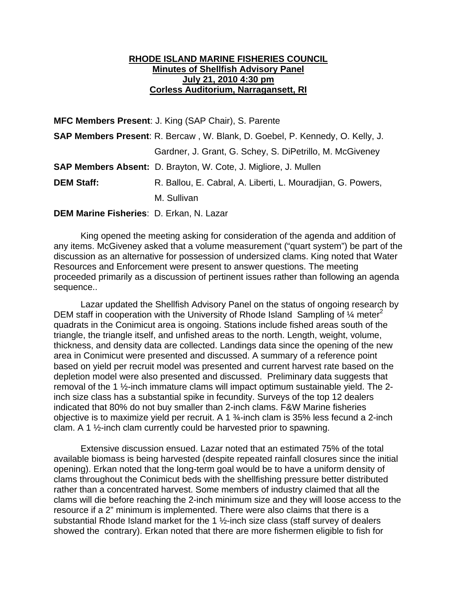## **RHODE ISLAND MARINE FISHERIES COUNCIL Minutes of Shellfish Advisory Panel July 21, 2010 4:30 pm Corless Auditorium, Narragansett, RI**

**MFC Members Present**: J. King (SAP Chair), S. Parente

|                   | <b>SAP Members Present:</b> R. Bercaw, W. Blank, D. Goebel, P. Kennedy, O. Kelly, J. |
|-------------------|--------------------------------------------------------------------------------------|
|                   | Gardner, J. Grant, G. Schey, S. DiPetrillo, M. McGiveney                             |
|                   | <b>SAP Members Absent:</b> D. Brayton, W. Cote, J. Migliore, J. Mullen               |
| <b>DEM Staff:</b> | R. Ballou, E. Cabral, A. Liberti, L. Mouradijan, G. Powers,                          |
|                   | M. Sullivan                                                                          |

## **DEM Marine Fisheries**: D. Erkan, N. Lazar

 King opened the meeting asking for consideration of the agenda and addition of any items. McGiveney asked that a volume measurement ("quart system") be part of the discussion as an alternative for possession of undersized clams. King noted that Water Resources and Enforcement were present to answer questions. The meeting proceeded primarily as a discussion of pertinent issues rather than following an agenda sequence..

 Lazar updated the Shellfish Advisory Panel on the status of ongoing research by DEM staff in cooperation with the University of Rhode Island Sampling of  $\frac{1}{4}$  meter<sup>2</sup> quadrats in the Conimicut area is ongoing. Stations include fished areas south of the triangle, the triangle itself, and unfished areas to the north. Length, weight, volume, thickness, and density data are collected. Landings data since the opening of the new area in Conimicut were presented and discussed. A summary of a reference point based on yield per recruit model was presented and current harvest rate based on the depletion model were also presented and discussed. Preliminary data suggests that removal of the 1 ½-inch immature clams will impact optimum sustainable yield. The 2 inch size class has a substantial spike in fecundity. Surveys of the top 12 dealers indicated that 80% do not buy smaller than 2-inch clams. F&W Marine fisheries objective is to maximize yield per recruit. A 1 ¾-inch clam is 35% less fecund a 2-inch clam. A 1 ½-inch clam currently could be harvested prior to spawning.

Extensive discussion ensued. Lazar noted that an estimated 75% of the total available biomass is being harvested (despite repeated rainfall closures since the initial opening). Erkan noted that the long-term goal would be to have a uniform density of clams throughout the Conimicut beds with the shellfishing pressure better distributed rather than a concentrated harvest. Some members of industry claimed that all the clams will die before reaching the 2-inch minimum size and they will loose access to the resource if a 2" minimum is implemented. There were also claims that there is a substantial Rhode Island market for the 1 ½-inch size class (staff survey of dealers showed the contrary). Erkan noted that there are more fishermen eligible to fish for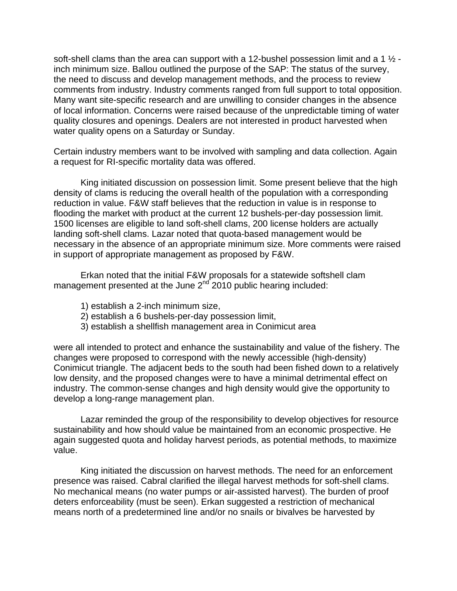soft-shell clams than the area can support with a 12-bushel possession limit and a 1  $\frac{1}{2}$  inch minimum size. Ballou outlined the purpose of the SAP: The status of the survey, the need to discuss and develop management methods, and the process to review comments from industry. Industry comments ranged from full support to total opposition. Many want site-specific research and are unwilling to consider changes in the absence of local information. Concerns were raised because of the unpredictable timing of water quality closures and openings. Dealers are not interested in product harvested when water quality opens on a Saturday or Sunday.

Certain industry members want to be involved with sampling and data collection. Again a request for RI-specific mortality data was offered.

King initiated discussion on possession limit. Some present believe that the high density of clams is reducing the overall health of the population with a corresponding reduction in value. F&W staff believes that the reduction in value is in response to flooding the market with product at the current 12 bushels-per-day possession limit. 1500 licenses are eligible to land soft-shell clams, 200 license holders are actually landing soft-shell clams. Lazar noted that quota-based management would be necessary in the absence of an appropriate minimum size. More comments were raised in support of appropriate management as proposed by F&W.

Erkan noted that the initial F&W proposals for a statewide softshell clam management presented at the June  $2^{nd}$  2010 public hearing included:

- 1) establish a 2-inch minimum size,
- 2) establish a 6 bushels-per-day possession limit,
- 3) establish a shellfish management area in Conimicut area

were all intended to protect and enhance the sustainability and value of the fishery. The changes were proposed to correspond with the newly accessible (high-density) Conimicut triangle. The adjacent beds to the south had been fished down to a relatively low density, and the proposed changes were to have a minimal detrimental effect on industry. The common-sense changes and high density would give the opportunity to develop a long-range management plan.

Lazar reminded the group of the responsibility to develop objectives for resource sustainability and how should value be maintained from an economic prospective. He again suggested quota and holiday harvest periods, as potential methods, to maximize value.

King initiated the discussion on harvest methods. The need for an enforcement presence was raised. Cabral clarified the illegal harvest methods for soft-shell clams. No mechanical means (no water pumps or air-assisted harvest). The burden of proof deters enforceability (must be seen). Erkan suggested a restriction of mechanical means north of a predetermined line and/or no snails or bivalves be harvested by